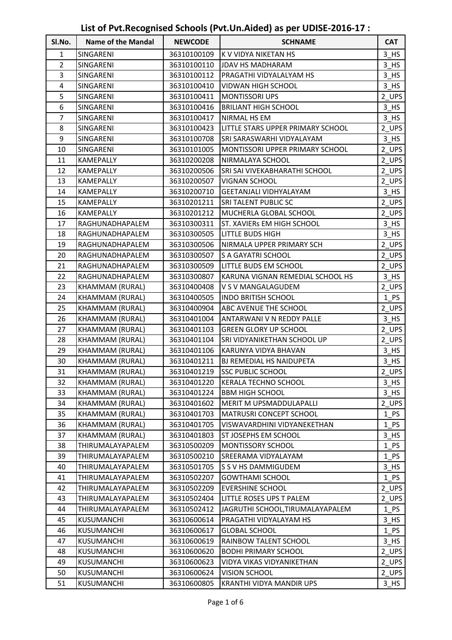| Sl.No.       | <u>ີ່ບ</u><br><b>Name of the Mandal</b> | $ \bullet$<br><b>NEWCODE</b> | . <b>. .</b><br><b>SCHNAME</b>    | <b>CAT</b>      |
|--------------|-----------------------------------------|------------------------------|-----------------------------------|-----------------|
| $\mathbf{1}$ | SINGARENI                               | 36310100109                  | K V VIDYA NIKETAN HS              | $3$ HS          |
| 2            | SINGARENI                               | 36310100110                  | JDAV HS MADHARAM                  | 3 HS            |
| 3            | SINGARENI                               | 36310100112                  | PRAGATHI VIDYALALYAM HS           | $3$ HS          |
| 4            | SINGARENI                               | 36310100410                  | VIDWAN HIGH SCHOOL                | 3 HS            |
| 5            | SINGARENI                               | 36310100411                  | <b>MONTISSORI UPS</b>             | $2$ UPS         |
| 6            | SINGARENI                               | 36310100416                  | <b>BRILIANT HIGH SCHOOL</b>       | $3$ HS          |
| 7            | SINGARENI                               | 36310100417                  | NIRMAL HS EM                      | 3 HS            |
| 8            | SINGARENI                               | 36310100423                  | LITTLE STARS UPPER PRIMARY SCHOOL | 2 UPS           |
| 9            | SINGARENI                               | 36310100708                  | SRI SARASWARHI VIDYALAYAM         | $3$ HS          |
| 10           | SINGARENI                               | 36310101005                  | MONTISSORI UPPER PRIMARY SCHOOL   | 2_UPS           |
| 11           | KAMEPALLY                               | 36310200208                  | NIRMALAYA SCHOOL                  | 2_UPS           |
| 12           | KAMEPALLY                               | 36310200506                  | SRI SAI VIVEKABHARATHI SCHOOL     | 2_UPS           |
| 13           | KAMEPALLY                               | 36310200507                  | VIGNAN SCHOOL                     | 2_UPS           |
| 14           | KAMEPALLY                               | 36310200710                  | GEETANJALI VIDHYALAYAM            | $3$ HS          |
| 15           | KAMEPALLY                               | 36310201211                  | SRI TALENT PUBLIC SC              | 2_UPS           |
| 16           | KAMEPALLY                               | 36310201212                  | MUCHERLA GLOBAL SCHOOL            | 2 UPS           |
| 17           | RAGHUNADHAPALEM                         | 36310300311                  | ST. XAVIERs EM HIGH SCHOOL        | $3$ HS          |
| 18           | RAGHUNADHAPALEM                         | 36310300505                  | <b>LITTLE BUDS HIGH</b>           | $3$ HS          |
| 19           | RAGHUNADHAPALEM                         | 36310300506                  | NIRMALA UPPER PRIMARY SCH         | 2 UPS           |
| 20           | RAGHUNADHAPALEM                         | 36310300507                  | S A GAYATRI SCHOOL                | 2_UPS           |
| 21           | RAGHUNADHAPALEM                         | 36310300509                  | LITTLE BUDS EM SCHOOL             | 2 UPS           |
| 22           | RAGHUNADHAPALEM                         | 36310300807                  | KARUNA VIGNAN REMEDIAL SCHOOL HS  | $3$ HS          |
| 23           | KHAMMAM (RURAL)                         | 36310400408                  | V S V MANGALAGUDEM                | 2_UPS           |
| 24           | KHAMMAM (RURAL)                         | 36310400505                  | <b>INDO BRITISH SCHOOL</b>        | $1$ PS          |
| 25           | KHAMMAM (RURAL)                         | 36310400904                  | <b>ABC AVENUE THE SCHOOL</b>      | 2_UPS           |
| 26           | KHAMMAM (RURAL)                         | 36310401004                  | ANTARWANI V N REDDY PALLE         | $3$ HS          |
| 27           | KHAMMAM (RURAL)                         | 36310401103                  | <b>GREEN GLORY UP SCHOOL</b>      | 2_UPS           |
| 28           | KHAMMAM (RURAL)                         | 36310401104                  | SRI VIDYANIKETHAN SCHOOL UP       | 2_UPS           |
| 29           | KHAMMAM (RURAL)                         | 36310401106                  | KARUNYA VIDYA BHAVAN              | $3$ HS          |
| 30           | KHAMMAM (RURAL)                         | 36310401211                  | BJ REMEDIAL HS NAIDUPETA          | 3 <sub>HS</sub> |
| 31           | KHAMMAM (RURAL)                         | 36310401219                  | SSC PUBLIC SCHOOL                 | $2$ UPS         |
| 32           | KHAMMAM (RURAL)                         | 36310401220                  | KERALA TECHNO SCHOOL              | 3 HS            |
| 33           | KHAMMAM (RURAL)                         | 36310401224                  | <b>BBM HIGH SCHOOL</b>            | 3 HS            |
| 34           | KHAMMAM (RURAL)                         | 36310401602                  | MERIT M UPSMADDULAPALLI           | 2_UPS           |
| 35           | KHAMMAM (RURAL)                         | 36310401703                  | MATRUSRI CONCEPT SCHOOL           | $1$ PS          |
| 36           | KHAMMAM (RURAL)                         | 36310401705                  | VISWAVARDHINI VIDYANEKETHAN       | $1_PS$          |
| 37           | KHAMMAM (RURAL)                         | 36310401803                  | ST JOSEPHS EM SCHOOL              | $3$ HS          |
| 38           | THIRUMALAYAPALEM                        | 36310500209                  | MONTISSORY SCHOOL                 | $1$ PS          |
| 39           | THIRUMALAYAPALEM                        | 36310500210                  | SREERAMA VIDYALAYAM               | $1$ PS          |
| 40           | THIRUMALAYAPALEM                        | 36310501705                  | S S V HS DAMMIGUDEM               | $3$ HS          |
| 41           | THIRUMALAYAPALEM                        | 36310502207                  | <b>GOWTHAMI SCHOOL</b>            | $1$ PS          |
| 42           | THIRUMALAYAPALEM                        | 36310502209                  | <b>EVERSHINE SCHOOL</b>           | 2_UPS           |
| 43           | THIRUMALAYAPALEM                        | 36310502404                  | LITTLE ROSES UPS T PALEM          | 2_UPS           |
| 44           | THIRUMALAYAPALEM                        | 36310502412                  | JAGRUTHI SCHOOL, TIRUMALAYAPALEM  | $1$ PS          |
| 45           | KUSUMANCHI                              | 36310600614                  | PRAGATHI VIDYALAYAM HS            | $3$ HS          |
| 46           | KUSUMANCHI                              | 36310600617                  | <b>GLOBAL SCHOOL</b>              | $1$ PS          |
| 47           | KUSUMANCHI                              | 36310600619                  | RAINBOW TALENT SCHOOL             | $3$ HS          |
| 48           | KUSUMANCHI                              | 36310600620                  | <b>BODHI PRIMARY SCHOOL</b>       | 2_UPS           |
| 49           | KUSUMANCHI                              | 36310600623                  | VIDYA VIKAS VIDYANIKETHAN         | 2 UPS           |
| 50           | KUSUMANCHI                              | 36310600624                  | <b>VISION SCHOOL</b>              | 2_UPS           |
| 51           | KUSUMANCHI                              | 36310600805                  | KRANTHI VIDYA MANDIR UPS          | $3$ HS          |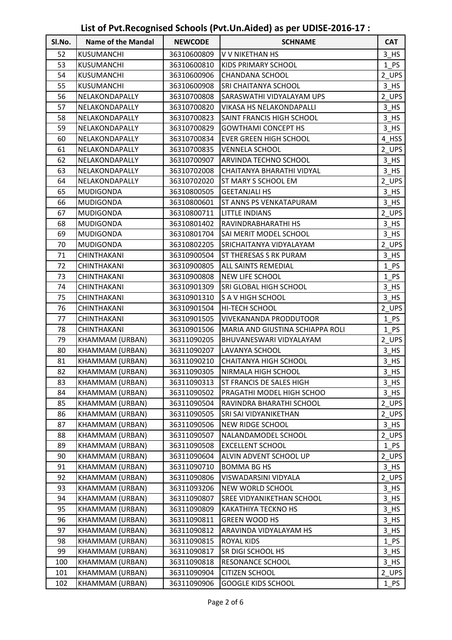| Sl.No. | <b>Name of the Mandal</b> | <b>NEWCODE</b> | <b>SCHNAME</b>                   | <b>CAT</b>         |
|--------|---------------------------|----------------|----------------------------------|--------------------|
| 52     | KUSUMANCHI                | 36310600809    | V V NIKETHAN HS                  | $3$ <sub>_HS</sub> |
| 53     | KUSUMANCHI                | 36310600810    | KIDS PRIMARY SCHOOL              | $1$ PS             |
| 54     | KUSUMANCHI                | 36310600906    | CHANDANA SCHOOL                  | 2_UPS              |
| 55     | KUSUMANCHI                | 36310600908    | SRI CHAITANYA SCHOOL             | $3$ HS             |
| 56     | NELAKONDAPALLY            | 36310700808    | SARASWATHI VIDYALAYAM UPS        | 2_UPS              |
| 57     | NELAKONDAPALLY            | 36310700820    | VIKASA HS NELAKONDAPALLI         | $3$ HS             |
| 58     | NELAKONDAPALLY            | 36310700823    | SAINT FRANCIS HIGH SCHOOL        | 3 HS               |
| 59     | NELAKONDAPALLY            | 36310700829    | <b>GOWTHAMI CONCEPT HS</b>       | $3$ HS             |
| 60     | NELAKONDAPALLY            | 36310700834    | EVER GREEN HIGH SCHOOL           | 4_HSS              |
| 61     | NELAKONDAPALLY            | 36310700835    | <b>VENNELA SCHOOL</b>            | 2_UPS              |
| 62     | NELAKONDAPALLY            | 36310700907    | ARVINDA TECHNO SCHOOL            | $3$ HS             |
| 63     | NELAKONDAPALLY            | 36310702008    | CHAITANYA BHARATHI VIDYAL        | $3$ HS             |
| 64     | NELAKONDAPALLY            | 36310702020    | ST MARY S SCHOOL EM              | 2_UPS              |
| 65     | MUDIGONDA                 | 36310800505    | <b>GEETANJALI HS</b>             | $3$ HS             |
| 66     | <b>MUDIGONDA</b>          | 36310800601    | ST ANNS PS VENKATAPURAM          | $3$ HS             |
| 67     | <b>MUDIGONDA</b>          | 36310800711    | LITTLE INDIANS                   | 2 UPS              |
| 68     | MUDIGONDA                 | 36310801402    | RAVINDRABHARATHI HS              | $3$ HS             |
| 69     | <b>MUDIGONDA</b>          | 36310801704    | SAI MERIT MODEL SCHOOL           | $3$ HS             |
| 70     | <b>MUDIGONDA</b>          | 36310802205    | SRICHAITANYA VIDYALAYAM          | 2_UPS              |
| 71     | CHINTHAKANI               | 36310900504    | <b>ST THERESAS S RK PURAM</b>    | $3$ HS             |
| 72     | CHINTHAKANI               | 36310900805    | ALL SAINTS REMEDIAL              | $1$ PS             |
| 73     | CHINTHAKANI               | 36310900808    | NEW LIFE SCHOOL                  | $1$ PS             |
| 74     | CHINTHAKANI               | 36310901309    | SRI GLOBAL HIGH SCHOOL           | $3$ HS             |
| 75     | CHINTHAKANI               | 36310901310    | S A V HIGH SCHOOL                | $3$ HS             |
| 76     | CHINTHAKANI               | 36310901504    | HI-TECH SCHOOL                   | 2_UPS              |
| 77     | CHINTHAKANI               | 36310901505    | VIVEKANANDA PRODDUTOOR           | $1$ PS             |
| 78     | CHINTHAKANI               | 36310901506    | MARIA AND GIUSTINA SCHIAPPA ROLI | $1$ PS             |
| 79     | KHAMMAM (URBAN)           | 36311090205    | BHUVANESWARI VIDYALAYAM          | 2_UPS              |
| 80     | KHAMMAM (URBAN)           | 36311090207    | LAVANYA SCHOOL                   | $3$ HS             |
| 81     | KHAMMAM (URBAN)           | 36311090210    | <b>CHAITANYA HIGH SCHOOL</b>     | 3 HS               |
| 82     | KHAMMAM (URBAN)           | 36311090305    | NIRMALA HIGH SCHOOL              | $3$ <sub>_HS</sub> |
| 83     | KHAMMAM (URBAN)           | 36311090313    | ST FRANCIS DE SALES HIGH         | 3 HS               |
| 84     | KHAMMAM (URBAN)           | 36311090502    | PRAGATHI MODEL HIGH SCHOO        | $3$ HS             |
| 85     | KHAMMAM (URBAN)           | 36311090504    | RAVINDRA BHARATHI SCHOOL         | 2_UPS              |
| 86     | KHAMMAM (URBAN)           | 36311090505    | SRI SAI VIDYANIKETHAN            | 2_UPS              |
| 87     | KHAMMAM (URBAN)           | 36311090506    | NEW RIDGE SCHOOL                 | $3$ HS             |
| 88     | KHAMMAM (URBAN)           | 36311090507    | NALANDAMODEL SCHOOL              | 2_UPS              |
| 89     | KHAMMAM (URBAN)           | 36311090508    | <b>EXCELLENT SCHOOL</b>          | $1$ PS             |
| 90     | KHAMMAM (URBAN)           | 36311090604    | ALVIN ADVENT SCHOOL UP           | 2_UPS              |
| 91     | KHAMMAM (URBAN)           | 36311090710    | <b>BOMMA BG HS</b>               | $3$ HS             |
| 92     | KHAMMAM (URBAN)           | 36311090806    | VISWADARSINI VIDYALA             | 2_UPS              |
| 93     | KHAMMAM (URBAN)           | 36311093206    | NEW WORLD SCHOOL                 | $3$ HS             |
| 94     | KHAMMAM (URBAN)           | 36311090807    | SREE VIDYANIKETHAN SCHOOL        | $3$ HS             |
| 95     | KHAMMAM (URBAN)           | 36311090809    | KAKATHIYA TECKNO HS              | $3$ HS             |
| 96     | KHAMMAM (URBAN)           | 36311090811    | <b>GREEN WOOD HS</b>             | $3$ HS             |
| 97     | KHAMMAM (URBAN)           | 36311090812    | ARAVINDA VIDYALAYAM HS           | 3 HS               |
| 98     | KHAMMAM (URBAN)           | 36311090815    | ROYAL KIDS                       | $1$ PS             |
| 99     | KHAMMAM (URBAN)           | 36311090817    | SR DIGI SCHOOL HS                | $3$ HS             |
| 100    | KHAMMAM (URBAN)           | 36311090818    | RESONANCE SCHOOL                 | $3$ HS             |
| 101    | KHAMMAM (URBAN)           | 36311090904    | <b>CITIZEN SCHOOL</b>            | 2_UPS              |
| 102    | KHAMMAM (URBAN)           | 36311090906    | <b>GOOGLE KIDS SCHOOL</b>        | $1$ PS             |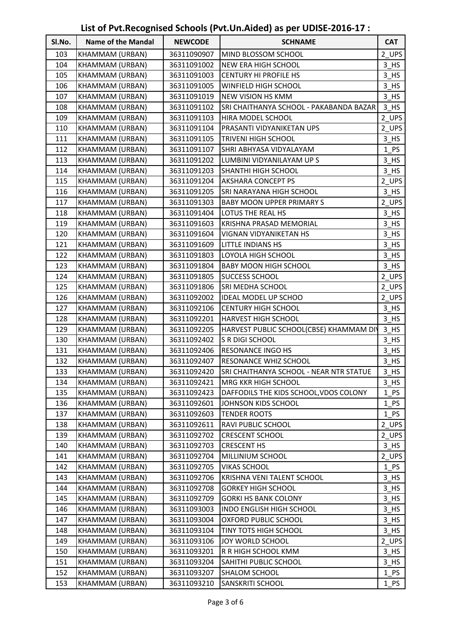| SI.No. | <b>Name of the Mandal</b> | <b>NEWCODE</b> | <b>SCHNAME</b>                          | <b>CAT</b> |
|--------|---------------------------|----------------|-----------------------------------------|------------|
| 103    | KHAMMAM (URBAN)           | 36311090907    | MIND BLOSSOM SCHOOL                     | 2_UPS      |
| 104    | KHAMMAM (URBAN)           | 36311091002    | NEW ERA HIGH SCHOOL                     | $3$ HS     |
| 105    | KHAMMAM (URBAN)           | 36311091003    | <b>CENTURY HI PROFILE HS</b>            | $3$ HS     |
| 106    | KHAMMAM (URBAN)           | 36311091005    | WINFIELD HIGH SCHOOL                    | $3$ HS     |
| 107    | KHAMMAM (URBAN)           | 36311091019    | NEW VISION HS KMM                       | $3$ HS     |
| 108    | KHAMMAM (URBAN)           | 36311091102    | SRI CHAITHANYA SCHOOL - PAKABANDA BAZAR | 3 HS       |
| 109    | KHAMMAM (URBAN)           | 36311091103    | HIRA MODEL SCHOOL                       | 2_UPS      |
| 110    | KHAMMAM (URBAN)           | 36311091104    | PRASANTI VIDYANIKETAN UPS               | 2_UPS      |
| 111    | KHAMMAM (URBAN)           | 36311091105    | TRIVENI HIGH SCHOOL                     | 3 HS       |
| 112    | KHAMMAM (URBAN)           | 36311091107    | SHRI ABHYASA VIDYALAYAM                 | $1$ PS     |
| 113    | KHAMMAM (URBAN)           | 36311091202    | LUMBINI VIDYANILAYAM UP S               | 3 HS       |
| 114    | KHAMMAM (URBAN)           | 36311091203    | SHANTHI HIGH SCHOOL                     | 3 HS       |
| 115    | KHAMMAM (URBAN)           | 36311091204    | AKSHARA CONCEPT PS                      | 2_UPS      |
| 116    | KHAMMAM (URBAN)           | 36311091205    | SRI NARAYANA HIGH SCHOOL                | $3$ HS     |
| 117    | KHAMMAM (URBAN)           | 36311091303    | <b>BABY MOON UPPER PRIMARY S</b>        | 2_UPS      |
| 118    | KHAMMAM (URBAN)           | 36311091404    | LOTUS THE REAL HS                       | $3$ HS     |
| 119    | KHAMMAM (URBAN)           | 36311091603    | KRISHNA PRASAD MEMORIAL                 | $3$ HS     |
| 120    | KHAMMAM (URBAN)           | 36311091604    | VIGNAN VIDYANIKETAN HS                  | 3 HS       |
| 121    | KHAMMAM (URBAN)           | 36311091609    | LITTLE INDIANS HS                       | $3$ HS     |
| 122    | KHAMMAM (URBAN)           | 36311091803    | LOYOLA HIGH SCHOOL                      | 3 HS       |
| 123    | KHAMMAM (URBAN)           | 36311091804    | <b>BABY MOON HIGH SCHOOL</b>            | $3$ HS     |
| 124    | KHAMMAM (URBAN)           | 36311091805    | SUCCESS SCHOOL                          | 2_UPS      |
| 125    | KHAMMAM (URBAN)           | 36311091806    | SRI MEDHA SCHOOL                        | 2_UPS      |
| 126    | KHAMMAM (URBAN)           | 36311092002    | IDEAL MODEL UP SCHOO                    | 2_UPS      |
| 127    | KHAMMAM (URBAN)           | 36311092106    | <b>CENTURY HIGH SCHOOL</b>              | $3$ HS     |
| 128    | KHAMMAM (URBAN)           | 36311092201    | HARVEST HIGH SCHOOL                     | $3$ HS     |
| 129    | KHAMMAM (URBAN)           | 36311092205    | HARVEST PUBLIC SCHOOL(CBSE) KHAMMAM DIV | $3$ HS     |
| 130    | KHAMMAM (URBAN)           | 36311092402    | S R DIGI SCHOOL                         | $3$ HS     |
| 131    | KHAMMAM (URBAN)           | 36311092406    | RESONANCE INGO HS                       | $3$ HS     |
| 132    | KHAMMAM (URBAN)           | 36311092407    | RESONANCE WHIZ SCHOOL                   | 3 HS       |
| 133    | KHAMMAM (URBAN)           | 36311092420    | SRI CHAITHANYA SCHOOL - NEAR NTR STATUE | $3$ HS     |
| 134    | KHAMMAM (URBAN)           | 36311092421    | MRG KKR HIGH SCHOOL                     | $3$ HS     |
| 135    | KHAMMAM (URBAN)           | 36311092423    | DAFFODILS THE KIDS SCHOOL, VDOS COLONY  | 1 PS       |
| 136    | KHAMMAM (URBAN)           | 36311092601    | JOHNSON KIDS SCHOOL                     | 1 PS       |
| 137    | KHAMMAM (URBAN)           | 36311092603    | <b>TENDER ROOTS</b>                     | 1 PS       |
| 138    | KHAMMAM (URBAN)           | 36311092611    | RAVI PUBLIC SCHOOL                      | 2_UPS      |
| 139    | KHAMMAM (URBAN)           | 36311092702    | <b>CRESCENT SCHOOL</b>                  | $2$ UPS    |
| 140    | KHAMMAM (URBAN)           | 36311092703    | <b>CRESCENT HS</b>                      | $3$ HS     |
| 141    | KHAMMAM (URBAN)           | 36311092704    | MILLINIUM SCHOOL                        | 2_UPS      |
| 142    | KHAMMAM (URBAN)           | 36311092705    | <b>VIKAS SCHOOL</b>                     | $1$ PS     |
| 143    | KHAMMAM (URBAN)           | 36311092706    | KRISHNA VENI TALENT SCHOOL              | $3$ HS     |
| 144    | KHAMMAM (URBAN)           | 36311092708    | <b>GORKEY HIGH SCHOOL</b>               | $3$ HS     |
| 145    | KHAMMAM (URBAN)           | 36311092709    | <b>GORKI HS BANK COLONY</b>             | $3$ HS     |
| 146    | KHAMMAM (URBAN)           | 36311093003    | INDO ENGLISH HIGH SCHOOL                | $3$ HS     |
| 147    | KHAMMAM (URBAN)           | 36311093004    | OXFORD PUBLIC SCHOOL                    | $3$ HS     |
| 148    | KHAMMAM (URBAN)           | 36311093104    | TINY TOTS HIGH SCHOOL                   | $3$ HS     |
| 149    | KHAMMAM (URBAN)           | 36311093106    | JOY WORLD SCHOOL                        | 2_UPS      |
| 150    | KHAMMAM (URBAN)           | 36311093201    | R R HIGH SCHOOL KMM                     | 3 HS       |
| 151    | KHAMMAM (URBAN)           | 36311093204    | SAHITHI PUBLIC SCHOOL                   | $3$ HS     |
| 152    | KHAMMAM (URBAN)           | 36311093207    | SHALOM SCHOOL                           | $1$ PS     |
| 153    | KHAMMAM (URBAN)           | 36311093210    | SANSKRITI SCHOOL                        | $1$ PS     |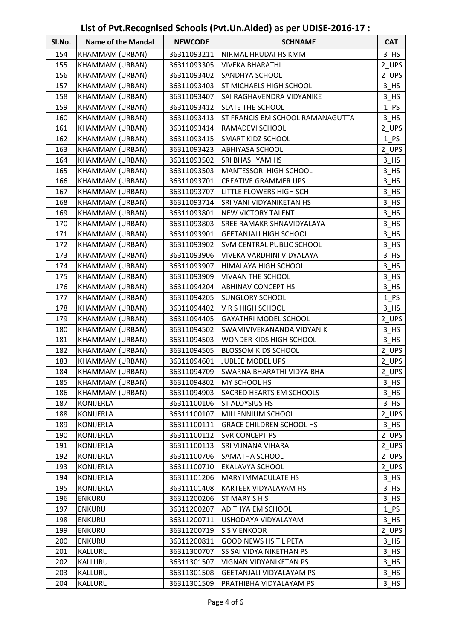| SI.No. | <b>Name of the Mandal</b> | <b>NEWCODE</b> | <b>SCHNAME</b>                   | <b>CAT</b> |
|--------|---------------------------|----------------|----------------------------------|------------|
| 154    | KHAMMAM (URBAN)           | 36311093211    | NIRMAL HRUDAI HS KMM             | $3$ HS     |
| 155    | KHAMMAM (URBAN)           | 36311093305    | <b>VIVEKA BHARATHI</b>           | 2 UPS      |
| 156    | KHAMMAM (URBAN)           | 36311093402    | SANDHYA SCHOOL                   | 2_UPS      |
| 157    | KHAMMAM (URBAN)           | 36311093403    | ST MICHAELS HIGH SCHOOL          | $3$ HS     |
| 158    | KHAMMAM (URBAN)           | 36311093407    | SAI RAGHAVENDRA VIDYANIKE        | $3$ HS     |
| 159    | KHAMMAM (URBAN)           | 36311093412    | SLATE THE SCHOOL                 | $1$ PS     |
| 160    | KHAMMAM (URBAN)           | 36311093413    | ST FRANCIS EM SCHOOL RAMANAGUTTA | $3$ HS     |
| 161    | KHAMMAM (URBAN)           | 36311093414    | RAMADEVI SCHOOL                  | 2_UPS      |
| 162    | KHAMMAM (URBAN)           | 36311093415    | SMART KIDZ SCHOOL                | $1$ PS     |
| 163    | KHAMMAM (URBAN)           | 36311093423    | <b>ABHIYASA SCHOOL</b>           | 2_UPS      |
| 164    | KHAMMAM (URBAN)           | 36311093502    | <b>SRI BHASHYAM HS</b>           | $3$ HS     |
| 165    | KHAMMAM (URBAN)           | 36311093503    | <b>MANTESSORI HIGH SCHOOL</b>    | $3$ HS     |
| 166    | KHAMMAM (URBAN)           | 36311093701    | <b>CREATIVE GRAMMER UPS</b>      | $3$ HS     |
| 167    | KHAMMAM (URBAN)           | 36311093707    | LITTLE FLOWERS HIGH SCH          | $3$ HS     |
| 168    | KHAMMAM (URBAN)           | 36311093714    | SRI VANI VIDYANIKETAN HS         | $3$ HS     |
| 169    | KHAMMAM (URBAN)           | 36311093801    | <b>NEW VICTORY TALENT</b>        | $3$ HS     |
| 170    | KHAMMAM (URBAN)           | 36311093803    | <b>SREE RAMAKRISHNAVIDYALAYA</b> | $3$ HS     |
| 171    | KHAMMAM (URBAN)           | 36311093901    | <b>GEETANJALI HIGH SCHOOL</b>    | 3 HS       |
| 172    | KHAMMAM (URBAN)           | 36311093902    | SVM CENTRAL PUBLIC SCHOOL        | 3 HS       |
| 173    | KHAMMAM (URBAN)           | 36311093906    | VIVEKA VARDHINI VIDYALAYA        | 3 HS       |
| 174    | KHAMMAM (URBAN)           | 36311093907    | HIMALAYA HIGH SCHOOL             | $3$ HS     |
| 175    | KHAMMAM (URBAN)           | 36311093909    | VIVAAN THE SCHOOL                | $3$ HS     |
| 176    | KHAMMAM (URBAN)           | 36311094204    | <b>ABHINAV CONCEPT HS</b>        | 3 HS       |
| 177    | KHAMMAM (URBAN)           | 36311094205    | <b>SUNGLORY SCHOOL</b>           | $1$ PS     |
| 178    | KHAMMAM (URBAN)           | 36311094402    | V R S HIGH SCHOOL                | $3$ HS     |
| 179    | KHAMMAM (URBAN)           | 36311094405    | GAYATHRI MODEL SCHOOL            | 2_UPS      |
| 180    | KHAMMAM (URBAN)           | 36311094502    | SWAMIVIVEKANANDA VIDYANIK        | $3$ HS     |
| 181    | KHAMMAM (URBAN)           | 36311094503    | WONDER KIDS HIGH SCHOOL          | $3$ HS     |
| 182    | KHAMMAM (URBAN)           | 36311094505    | <b>BLOSSOM KIDS SCHOOL</b>       | 2_UPS      |
| 183    | KHAMMAM (URBAN)           | 36311094601    | JUBLEE MODEL UPS                 | 2_UPS      |
| 184    | KHAMMAM (URBAN)           | 36311094709    | <b>SWARNA BHARATHI VIDYA BHA</b> | 2 UPS      |
| 185    | KHAMMAM (URBAN)           | 36311094802    | MY SCHOOL HS                     | 3 HS       |
| 186    | KHAMMAM (URBAN)           | 36311094903    | <b>SACRED HEARTS EM SCHOOLS</b>  | $3$ HS     |
| 187    | KONIJERLA                 | 36311100106    | ST ALOYSIUS HS                   | $3$ HS     |
| 188    | KONIJERLA                 | 36311100107    | MILLENNIUM SCHOOL                | 2_UPS      |
| 189    | KONIJERLA                 | 36311100111    | <b>GRACE CHILDREN SCHOOL HS</b>  | $3$ HS     |
| 190    | KONIJERLA                 | 36311100112    | SVR CONCEPT PS                   | 2_UPS      |
| 191    | KONIJERLA                 | 36311100113    | SRI VIJNANA VIHARA               | 2_UPS      |
| 192    | KONIJERLA                 | 36311100706    | <b>SAMATHA SCHOOL</b>            | 2_UPS      |
| 193    | KONIJERLA                 | 36311100710    | EKALAVYA SCHOOL                  | 2_UPS      |
| 194    | KONIJERLA                 | 36311101206    | MARY IMMACULATE HS               | $3$ HS     |
| 195    | KONIJERLA                 | 36311101408    | KARTEEK VIDYALAYAM HS            | $3$ HS     |
| 196    | <b>ENKURU</b>             | 36311200206    | ST MARY S H S                    | $3$ HS     |
| 197    | ENKURU                    | 36311200207    | <b>ADITHYA EM SCHOOL</b>         | $1$ PS     |
| 198    | <b>ENKURU</b>             | 36311200711    | USHODAYA VIDYALAYAM              | $3$ HS     |
| 199    | <b>ENKURU</b>             | 36311200719    | S S V ENKOOR                     | $2$ UPS    |
| 200    | <b>ENKURU</b>             | 36311200811    | <b>GOOD NEWS HS T L PETA</b>     | $3$ HS     |
| 201    | KALLURU                   | 36311300707    | SS SAI VIDYA NIKETHAN PS         | 3 HS       |
| 202    | KALLURU                   | 36311301507    | VIGNAN VIDYANIKETAN PS           | $3$ HS     |
| 203    | KALLURU                   | 36311301508    | GEETANJALI VIDYALAYAM PS         | $3$ HS     |
| 204    | KALLURU                   | 36311301509    | PRATHIBHA VIDYALAYAM PS          | $3$ HS     |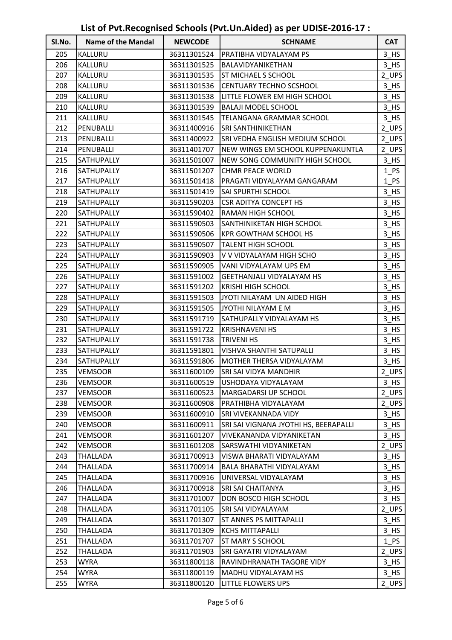| SI.No. | <b>Name of the Mandal</b> | <b>NEWCODE</b> | <b>SCHNAME</b>                         | <b>CAT</b>         |
|--------|---------------------------|----------------|----------------------------------------|--------------------|
| 205    | KALLURU                   | 36311301524    | <b>PRATIBHA VIDYALAYAM PS</b>          | 3 HS               |
| 206    | KALLURU                   | 36311301525    | BALAVIDYANIKETHAN                      | $3$ HS             |
| 207    | KALLURU                   | 36311301535    | <b>ST MICHAEL S SCHOOL</b>             | 2_UPS              |
| 208    | KALLURU                   | 36311301536    | CENTUARY TECHNO SCSHOOL                | $3$ HS             |
| 209    | KALLURU                   | 36311301538    | LITTLE FLOWER EM HIGH SCHOOL           | $3$ HS             |
| 210    | KALLURU                   | 36311301539    | BALAJI MODEL SCHOOL                    | $3$ HS             |
| 211    | KALLURU                   | 36311301545    | TELANGANA GRAMMAR SCHOOL               | $3$ HS             |
| 212    | PENUBALLI                 | 36311400916    | <b>SRI SANTHINIKETHAN</b>              | 2_UPS              |
| 213    | PENUBALLI                 | 36311400922    | <b>SRI VEDHA ENGLISH MEDIUM SCHOOL</b> | 2_UPS              |
| 214    | PENUBALLI                 | 36311401707    | NEW WINGS EM SCHOOL KUPPENAKUNTLA      | 2_UPS              |
| 215    | SATHUPALLY                | 36311501007    | NEW SONG COMMUNITY HIGH SCHOOL         | $3$ HS             |
| 216    | SATHUPALLY                | 36311501207    | <b>CHMR PEACE WORLD</b>                | 1 PS               |
| 217    | SATHUPALLY                | 36311501418    | PRAGATI VIDYALAYAM GANGARAM            | 1 PS               |
| 218    | SATHUPALLY                | 36311501419    | <b>SAI SPURTHI SCHOOL</b>              | $3$ HS             |
| 219    | SATHUPALLY                | 36311590203    | <b>CSR ADITYA CONCEPT HS</b>           | 3 HS               |
| 220    | SATHUPALLY                | 36311590402    | RAMAN HIGH SCHOOL                      | $3$ HS             |
| 221    | SATHUPALLY                | 36311590503    | SANTHINIKETAN HIGH SCHOOL              | $3$ HS             |
| 222    | SATHUPALLY                | 36311590506    | KPR GOWTHAM SCHOOL HS                  | $3$ HS             |
| 223    | SATHUPALLY                | 36311590507    | <b>TALENT HIGH SCHOOL</b>              | $3$ HS             |
| 224    | SATHUPALLY                | 36311590903    | V V VIDYALAYAM HIGH SCHO               | $3$ HS             |
| 225    | SATHUPALLY                | 36311590905    | VANI VIDYALAYAM UPS EM                 | $3$ HS             |
| 226    | SATHUPALLY                | 36311591002    | GEETHANJALI VIDYALAYAM HS              | $3$ HS             |
| 227    | SATHUPALLY                | 36311591202    | <b>KRISHI HIGH SCHOOL</b>              | $3$ HS             |
| 228    | SATHUPALLY                | 36311591503    | JYOTI NILAYAM UN AIDED HIGH            | $3$ HS             |
| 229    | SATHUPALLY                | 36311591505    | JYOTHI NILAYAM E M                     | $3$ HS             |
| 230    | SATHUPALLY                | 36311591719    | SATHUPALLY VIDYALAYAM HS               | 3 HS               |
| 231    | SATHUPALLY                | 36311591722    | <b>KRISHNAVENI HS</b>                  | $3$ HS             |
| 232    | SATHUPALLY                | 36311591738    | <b>TRIVENI HS</b>                      | $3$ HS             |
| 233    | SATHUPALLY                | 36311591801    | VISHVA SHANTHI SATUPALLI               | $3$ HS             |
| 234    | SATHUPALLY                | 36311591806    | MOTHER THERSA VIDYALAYAM               | $3$ HS             |
| 235    | <b>VEMSOOR</b>            | 36311600109    | SRI SAI VIDYA MANDHIR                  | $2$ _UPS           |
| 236    | <b>VEMSOOR</b>            | 36311600519    | USHODAYA VIDYALAYAM                    | $3$ HS             |
| 237    | <b>VEMSOOR</b>            | 36311600523    | MARGADARSI UP SCHOOL                   | 2 UPS              |
| 238    | <b>VEMSOOR</b>            | 36311600908    | PRATHIBHA VIDYALAYAM                   | 2_UPS              |
| 239    | <b>VEMSOOR</b>            | 36311600910    | SRI VIVEKANNADA VIDY                   | $3$ HS             |
| 240    | <b>VEMSOOR</b>            | 36311600911    | SRI SAI VIGNANA JYOTHI HS, BEERAPALLI  | $3$ HS             |
| 241    | <b>VEMSOOR</b>            | 36311601207    | VIVEKANANDA VIDYANIKETAN               | $3$ HS             |
| 242    | <b>VEMSOOR</b>            | 36311601208    | SARSWATHI VIDYANIKETAN                 | 2_UPS              |
| 243    | THALLADA                  | 36311700913    | VISWA BHARATI VIDYALAYAM               | $3$ HS             |
| 244    | THALLADA                  | 36311700914    | BALA BHARATHI VIDYALAYAM               | $3$ HS             |
| 245    | <b>THALLADA</b>           | 36311700916    | UNIVERSAL VIDYALAYAM                   | $3$ HS             |
| 246    | THALLADA                  | 36311700918    | <b>SRI SAI CHAITANYA</b>               | $3$ HS             |
| 247    | THALLADA                  | 36311701007    | DON BOSCO HIGH SCHOOL                  | $3$ HS             |
| 248    | THALLADA                  | 36311701105    | SRI SAI VIDYALAYAM                     | 2_UPS              |
| 249    | <b>THALLADA</b>           | 36311701307    | <b>ST ANNES PS MITTAPALLI</b>          | $3$ HS             |
| 250    | THALLADA                  | 36311701309    | <b>KCHS MITTAPALLI</b>                 | $3$ HS             |
| 251    | <b>THALLADA</b>           | 36311701707    | ST MARY S SCHOOL                       | 1 PS               |
| 252    | THALLADA                  | 36311701903    | SRI GAYATRI VIDYALAYAM                 | 2_UPS              |
| 253    | <b>WYRA</b>               | 36311800118    | RAVINDHRANATH TAGORE VIDY              | $3$ HS             |
| 254    | <b>WYRA</b>               | 36311800119    | MADHU VIDYALAYAM HS                    | $3$ <sub>_HS</sub> |
| 255    | <b>WYRA</b>               | 36311800120    | LITTLE FLOWERS UPS                     | $2_\text{UPS}$     |